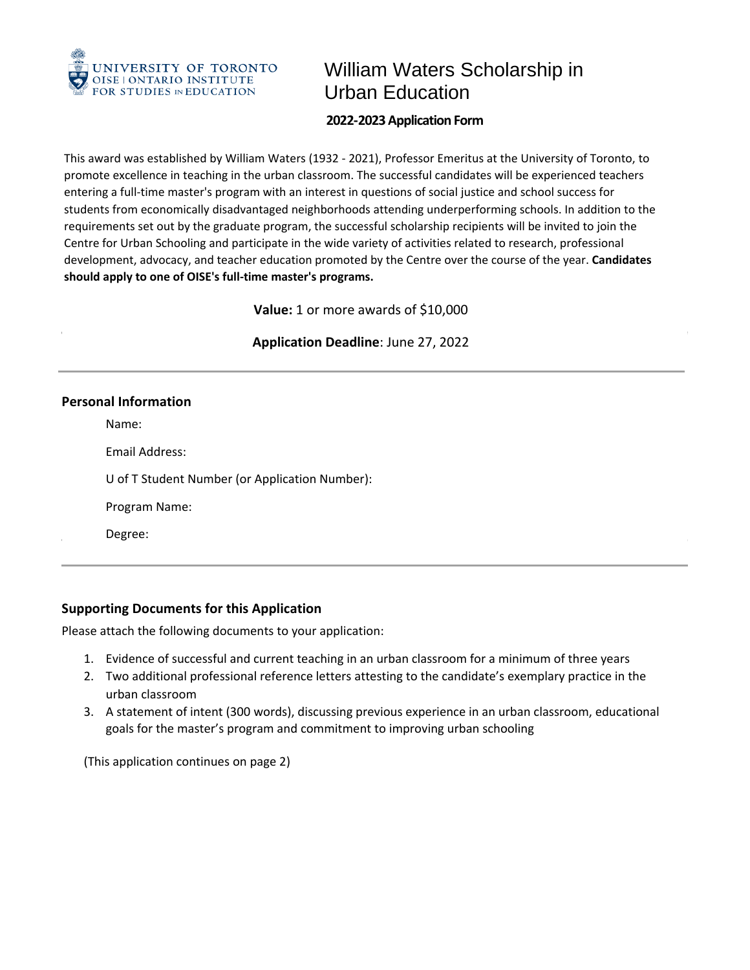

# William Waters Scholarship in Urban Education

## **2022-2023 Application Form**

 This award was established by William Waters (1932 - 2021), Professor Emeritus at the University of Toronto, to entering a full-time master's program with an interest in questions of social justice and school success for students from economically disadvantaged neighborhoods attending underperforming schools. In addition to the requirements set out by the graduate program, the successful scholarship recipients will be invited to join the  Centre for Urban Schooling and participate in the wide variety of activities related to research, professional promote excellence in teaching in the urban classroom. The successful candidates will be experienced teachers development, advocacy, and teacher education promoted by the Centre over the course of the year. **Candidates should apply to one of OISE's full-time master's programs.** 

**Value:** 1 or more awards of \$10,000

**Application Deadline**: June 27, 2022

### **Personal Information**

Name:

Email Address:

U of T Student Number (or Application Number):

Program Name:

Degree:

# **Supporting Documents for this Application**

Please attach the following documents to your application:

- 1. Evidence of successful and current teaching in an urban classroom for a minimum of three years
- 2. Two additional professional reference letters attesting to the candidate's exemplary practice in the urban classroom
- 3. A statement of intent (300 words), discussing previous experience in an urban classroom, educational goals for the master's program and commitment to improving urban schooling

(This application continues on page 2)